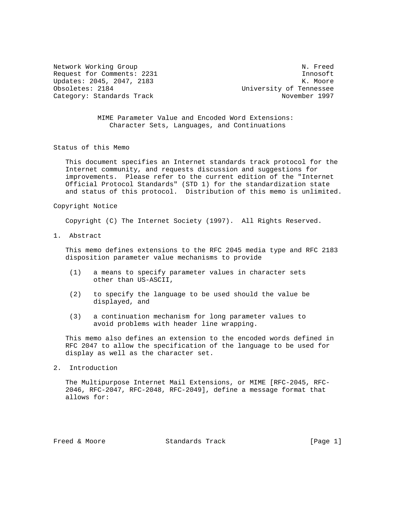Network Working Group Network Working Group Request for Comments: 2231 Innosoft Updates: 2045, 2047, 2183<br>Obsoletes: 2184 Moore University of Tennessee Category: Standards Track November 1997

University of Tennessee

 MIME Parameter Value and Encoded Word Extensions: Character Sets, Languages, and Continuations

Status of this Memo

 This document specifies an Internet standards track protocol for the Internet community, and requests discussion and suggestions for improvements. Please refer to the current edition of the "Internet Official Protocol Standards" (STD 1) for the standardization state and status of this protocol. Distribution of this memo is unlimited.

## Copyright Notice

Copyright (C) The Internet Society (1997). All Rights Reserved.

1. Abstract

 This memo defines extensions to the RFC 2045 media type and RFC 2183 disposition parameter value mechanisms to provide

- (1) a means to specify parameter values in character sets other than US-ASCII,
- (2) to specify the language to be used should the value be displayed, and
- (3) a continuation mechanism for long parameter values to avoid problems with header line wrapping.

 This memo also defines an extension to the encoded words defined in RFC 2047 to allow the specification of the language to be used for display as well as the character set.

2. Introduction

 The Multipurpose Internet Mail Extensions, or MIME [RFC-2045, RFC- 2046, RFC-2047, RFC-2048, RFC-2049], define a message format that allows for:

Freed & Moore **Standards Track** [Page 1]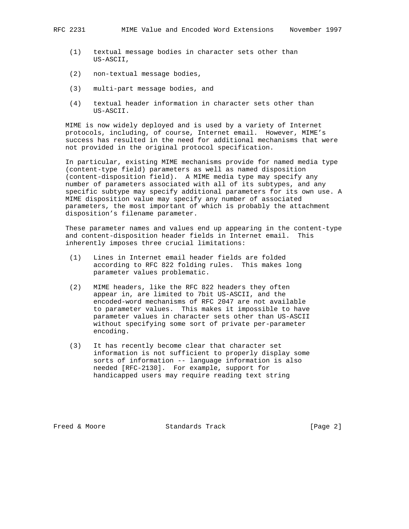- (1) textual message bodies in character sets other than US-ASCII,
- (2) non-textual message bodies,
- (3) multi-part message bodies, and
- (4) textual header information in character sets other than US-ASCII.

 MIME is now widely deployed and is used by a variety of Internet protocols, including, of course, Internet email. However, MIME's success has resulted in the need for additional mechanisms that were not provided in the original protocol specification.

 In particular, existing MIME mechanisms provide for named media type (content-type field) parameters as well as named disposition (content-disposition field). A MIME media type may specify any number of parameters associated with all of its subtypes, and any specific subtype may specify additional parameters for its own use. A MIME disposition value may specify any number of associated parameters, the most important of which is probably the attachment disposition's filename parameter.

 These parameter names and values end up appearing in the content-type and content-disposition header fields in Internet email. This inherently imposes three crucial limitations:

- (1) Lines in Internet email header fields are folded according to RFC 822 folding rules. This makes long parameter values problematic.
- (2) MIME headers, like the RFC 822 headers they often appear in, are limited to 7bit US-ASCII, and the encoded-word mechanisms of RFC 2047 are not available to parameter values. This makes it impossible to have parameter values in character sets other than US-ASCII without specifying some sort of private per-parameter encoding.
- (3) It has recently become clear that character set information is not sufficient to properly display some sorts of information -- language information is also needed [RFC-2130]. For example, support for handicapped users may require reading text string

Freed & Moore **Standards Track** [Page 2]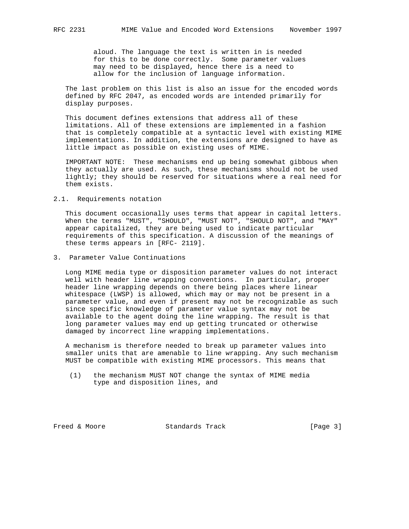aloud. The language the text is written in is needed for this to be done correctly. Some parameter values may need to be displayed, hence there is a need to allow for the inclusion of language information.

 The last problem on this list is also an issue for the encoded words defined by RFC 2047, as encoded words are intended primarily for display purposes.

 This document defines extensions that address all of these limitations. All of these extensions are implemented in a fashion that is completely compatible at a syntactic level with existing MIME implementations. In addition, the extensions are designed to have as little impact as possible on existing uses of MIME.

 IMPORTANT NOTE: These mechanisms end up being somewhat gibbous when they actually are used. As such, these mechanisms should not be used lightly; they should be reserved for situations where a real need for them exists.

## 2.1. Requirements notation

 This document occasionally uses terms that appear in capital letters. When the terms "MUST", "SHOULD", "MUST NOT", "SHOULD NOT", and "MAY" appear capitalized, they are being used to indicate particular requirements of this specification. A discussion of the meanings of these terms appears in [RFC- 2119].

3. Parameter Value Continuations

 Long MIME media type or disposition parameter values do not interact well with header line wrapping conventions. In particular, proper header line wrapping depends on there being places where linear whitespace (LWSP) is allowed, which may or may not be present in a parameter value, and even if present may not be recognizable as such since specific knowledge of parameter value syntax may not be available to the agent doing the line wrapping. The result is that long parameter values may end up getting truncated or otherwise damaged by incorrect line wrapping implementations.

 A mechanism is therefore needed to break up parameter values into smaller units that are amenable to line wrapping. Any such mechanism MUST be compatible with existing MIME processors. This means that

 (1) the mechanism MUST NOT change the syntax of MIME media type and disposition lines, and

Freed & Moore Standards Track [Page 3]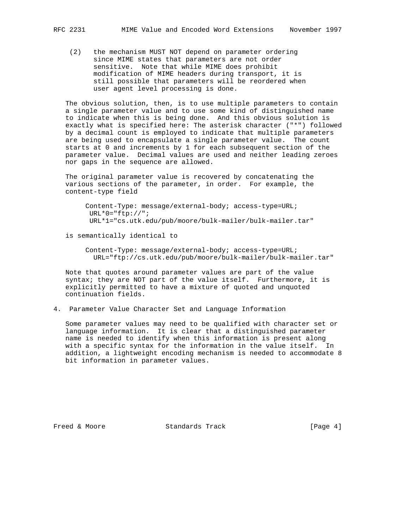(2) the mechanism MUST NOT depend on parameter ordering since MIME states that parameters are not order sensitive. Note that while MIME does prohibit modification of MIME headers during transport, it is still possible that parameters will be reordered when user agent level processing is done.

 The obvious solution, then, is to use multiple parameters to contain a single parameter value and to use some kind of distinguished name to indicate when this is being done. And this obvious solution is exactly what is specified here: The asterisk character ("\*") followed by a decimal count is employed to indicate that multiple parameters are being used to encapsulate a single parameter value. The count starts at 0 and increments by 1 for each subsequent section of the parameter value. Decimal values are used and neither leading zeroes nor gaps in the sequence are allowed.

 The original parameter value is recovered by concatenating the various sections of the parameter, in order. For example, the content-type field

 Content-Type: message/external-body; access-type=URL;  $URL*0="ftp://";$ URL\*1="cs.utk.edu/pub/moore/bulk-mailer/bulk-mailer.tar"

is semantically identical to

 Content-Type: message/external-body; access-type=URL; URL="ftp://cs.utk.edu/pub/moore/bulk-mailer/bulk-mailer.tar"

 Note that quotes around parameter values are part of the value syntax; they are NOT part of the value itself. Furthermore, it is explicitly permitted to have a mixture of quoted and unquoted continuation fields.

4. Parameter Value Character Set and Language Information

 Some parameter values may need to be qualified with character set or language information. It is clear that a distinguished parameter name is needed to identify when this information is present along with a specific syntax for the information in the value itself. In addition, a lightweight encoding mechanism is needed to accommodate 8 bit information in parameter values.

Freed & Moore **Standards Track** [Page 4]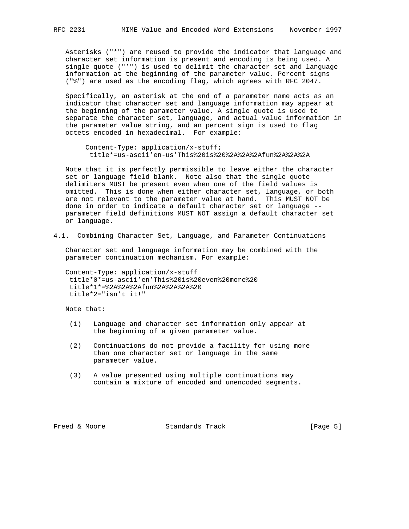Asterisks ("\*") are reused to provide the indicator that language and character set information is present and encoding is being used. A single quote ("'") is used to delimit the character set and language information at the beginning of the parameter value. Percent signs ("%") are used as the encoding flag, which agrees with RFC 2047.

 Specifically, an asterisk at the end of a parameter name acts as an indicator that character set and language information may appear at the beginning of the parameter value. A single quote is used to separate the character set, language, and actual value information in the parameter value string, and an percent sign is used to flag octets encoded in hexadecimal. For example:

 Content-Type: application/x-stuff; title\*=us-ascii'en-us'This%20is%20%2A%2A%2Afun%2A%2A%2A

 Note that it is perfectly permissible to leave either the character set or language field blank. Note also that the single quote delimiters MUST be present even when one of the field values is omitted. This is done when either character set, language, or both are not relevant to the parameter value at hand. This MUST NOT be done in order to indicate a default character set or language - parameter field definitions MUST NOT assign a default character set or language.

4.1. Combining Character Set, Language, and Parameter Continuations

 Character set and language information may be combined with the parameter continuation mechanism. For example:

 Content-Type: application/x-stuff title\*0\*=us-ascii'en'This%20is%20even%20more%20 title\*1\*=%2A%2A%2Afun%2A%2A%2A%20 title\*2="isn't it!"

Note that:

- (1) Language and character set information only appear at the beginning of a given parameter value.
- (2) Continuations do not provide a facility for using more than one character set or language in the same parameter value.
- (3) A value presented using multiple continuations may contain a mixture of encoded and unencoded segments.

Freed & Moore Standards Track [Page 5]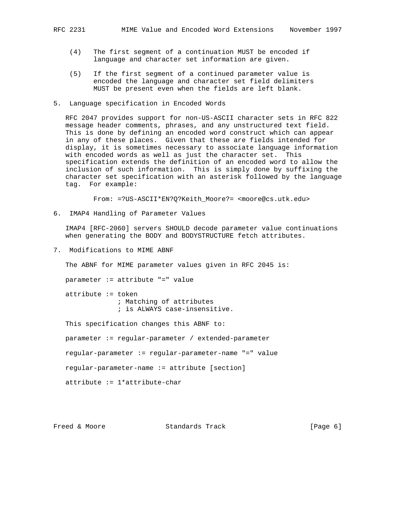- (4) The first segment of a continuation MUST be encoded if language and character set information are given.
- (5) If the first segment of a continued parameter value is encoded the language and character set field delimiters MUST be present even when the fields are left blank.
- 5. Language specification in Encoded Words

 RFC 2047 provides support for non-US-ASCII character sets in RFC 822 message header comments, phrases, and any unstructured text field. This is done by defining an encoded word construct which can appear in any of these places. Given that these are fields intended for display, it is sometimes necessary to associate language information with encoded words as well as just the character set. This specification extends the definition of an encoded word to allow the inclusion of such information. This is simply done by suffixing the character set specification with an asterisk followed by the language tag. For example:

From: =?US-ASCII\*EN?Q?Keith\_Moore?= <moore@cs.utk.edu>

6. IMAP4 Handling of Parameter Values

 IMAP4 [RFC-2060] servers SHOULD decode parameter value continuations when generating the BODY and BODYSTRUCTURE fetch attributes.

7. Modifications to MIME ABNF

The ABNF for MIME parameter values given in RFC 2045 is:

parameter := attribute "=" value

 attribute := token ; Matching of attributes ; is ALWAYS case-insensitive.

This specification changes this ABNF to:

parameter := regular-parameter / extended-parameter

regular-parameter := regular-parameter-name "=" value

regular-parameter-name := attribute [section]

attribute := 1\*attribute-char

Freed & Moore **Standards Track** [Page 6]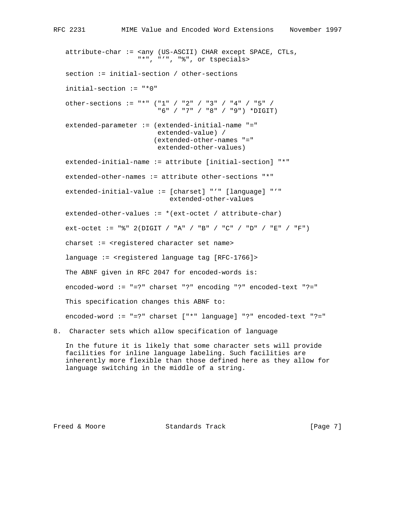```
 attribute-char := <any (US-ASCII) CHAR except SPACE, CTLs,
                     "*", "'", "%", or tspecials>
   section := initial-section / other-sections
    initial-section := "*0"
   other-sections := "*" ("1" / "2" / "3" / "4" / "5" /
                           "6" / "7" / "8" / "9") *DIGIT)
   extended-parameter := (extended-initial-name "="
                           extended-value) /
                          (extended-other-names "="
                           extended-other-values)
    extended-initial-name := attribute [initial-section] "*"
   extended-other-names := attribute other-sections "*"
   extended-initial-value := [charset] "'" [language] "'"
                              extended-other-values
   extended-other-values := *(ext-octet / attribute-char)
    ext-octet := "%" 2(DIGIT / "A" / "B" / "C" / "D" / "E" / "F")
   charset := <registered character set name>
    language := <registered language tag [RFC-1766]>
   The ABNF given in RFC 2047 for encoded-words is:
   encoded-word := "=?" charset "?" encoding "?" encoded-text "?="
   This specification changes this ABNF to:
   encoded-word := "=?" charset ["*" language] "?" encoded-text "?="
8. Character sets which allow specification of language
```
 In the future it is likely that some character sets will provide facilities for inline language labeling. Such facilities are inherently more flexible than those defined here as they allow for language switching in the middle of a string.

Freed & Moore **Standards Track** [Page 7]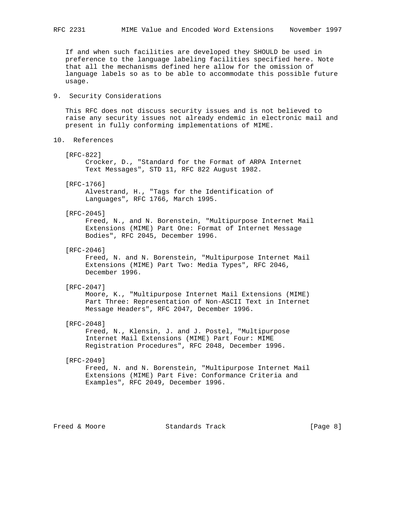If and when such facilities are developed they SHOULD be used in preference to the language labeling facilities specified here. Note that all the mechanisms defined here allow for the omission of language labels so as to be able to accommodate this possible future usage.

## 9. Security Considerations

 This RFC does not discuss security issues and is not believed to raise any security issues not already endemic in electronic mail and present in fully conforming implementations of MIME.

- 10. References
	- [RFC-822]

 Crocker, D., "Standard for the Format of ARPA Internet Text Messages", STD 11, RFC 822 August 1982.

[RFC-1766]

 Alvestrand, H., "Tags for the Identification of Languages", RFC 1766, March 1995.

[RFC-2045]

 Freed, N., and N. Borenstein, "Multipurpose Internet Mail Extensions (MIME) Part One: Format of Internet Message Bodies", RFC 2045, December 1996.

[RFC-2046]

 Freed, N. and N. Borenstein, "Multipurpose Internet Mail Extensions (MIME) Part Two: Media Types", RFC 2046, December 1996.

[RFC-2047]

 Moore, K., "Multipurpose Internet Mail Extensions (MIME) Part Three: Representation of Non-ASCII Text in Internet Message Headers", RFC 2047, December 1996.

[RFC-2048]

 Freed, N., Klensin, J. and J. Postel, "Multipurpose Internet Mail Extensions (MIME) Part Four: MIME Registration Procedures", RFC 2048, December 1996.

[RFC-2049]

 Freed, N. and N. Borenstein, "Multipurpose Internet Mail Extensions (MIME) Part Five: Conformance Criteria and Examples", RFC 2049, December 1996.

Freed & Moore **Standards Track** [Page 8]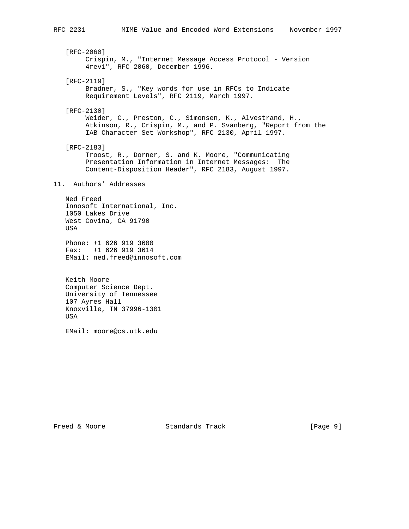[RFC-2060] Crispin, M., "Internet Message Access Protocol - Version 4rev1", RFC 2060, December 1996. [RFC-2119] Bradner, S., "Key words for use in RFCs to Indicate Requirement Levels", RFC 2119, March 1997. [RFC-2130] Weider, C., Preston, C., Simonsen, K., Alvestrand, H., Atkinson, R., Crispin, M., and P. Svanberg, "Report from the IAB Character Set Workshop", RFC 2130, April 1997. [RFC-2183] Troost, R., Dorner, S. and K. Moore, "Communicating Presentation Information in Internet Messages: The Content-Disposition Header", RFC 2183, August 1997. 11. Authors' Addresses Ned Freed Innosoft International, Inc. 1050 Lakes Drive West Covina, CA 91790 USA Phone: +1 626 919 3600 Fax: +1 626 919 3614 EMail: ned.freed@innosoft.com Keith Moore Computer Science Dept. University of Tennessee 107 Ayres Hall Knoxville, TN 37996-1301

EMail: moore@cs.utk.edu

USA

Freed & Moore **Standards Track** [Page 9]